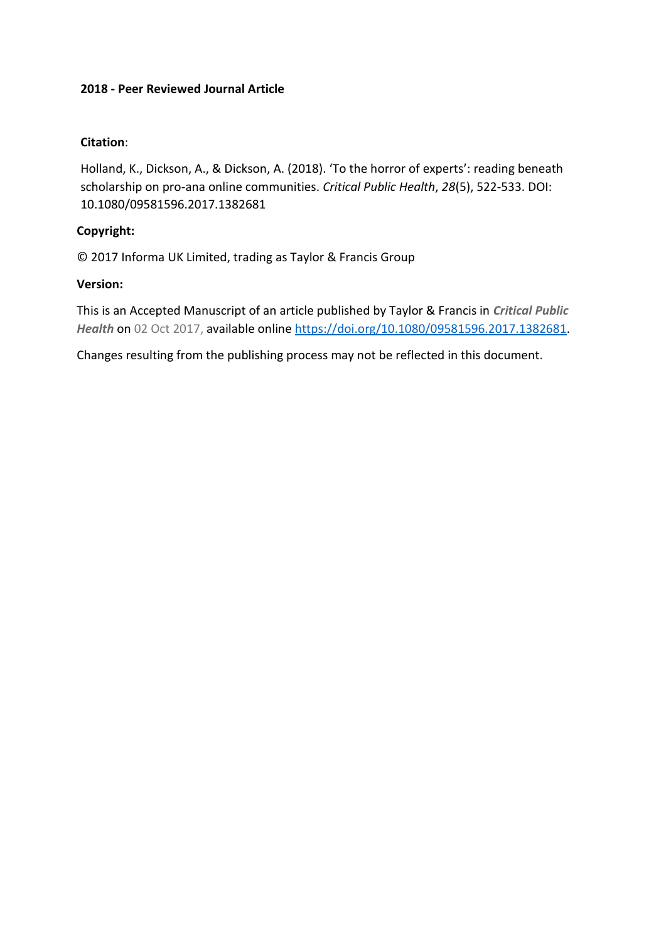# **2018 - Peer Reviewed Journal Article**

# **Citation**:

Holland, K., Dickson, A., & Dickson, A. (2018). 'To the horror of experts': reading beneath scholarship on pro-ana online communities. *Critical Public Health*, *28*(5), 522-533. DOI: 10.1080/09581596.2017.1382681

# **Copyright:**

© 2017 Informa UK Limited, trading as Taylor & Francis Group

# **Version:**

This is an Accepted Manuscript of an article published by Taylor & Francis in *Critical Public Health* on 02 Oct 2017, available online [https://doi.org/10.1080/09581596.2017.1382681.](https://doi.org/10.1080/09581596.2017.1382681)

Changes resulting from the publishing process may not be reflected in this document.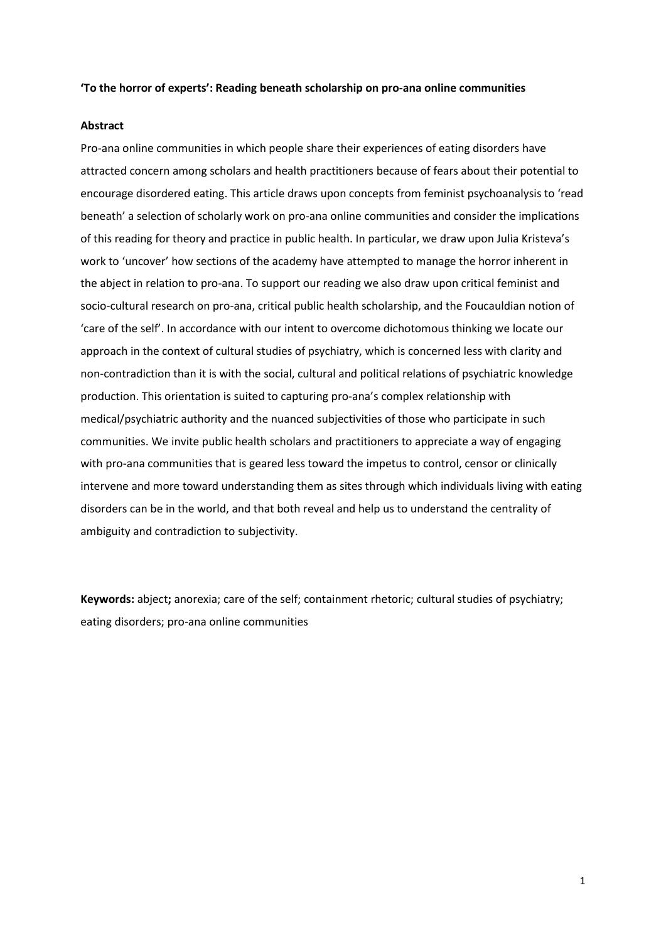#### **'To the horror of experts': Reading beneath scholarship on pro-ana online communities**

#### **Abstract**

Pro-ana online communities in which people share their experiences of eating disorders have attracted concern among scholars and health practitioners because of fears about their potential to encourage disordered eating. This article draws upon concepts from feminist psychoanalysis to 'read beneath' a selection of scholarly work on pro-ana online communities and consider the implications of this reading for theory and practice in public health. In particular, we draw upon Julia Kristeva's work to 'uncover' how sections of the academy have attempted to manage the horror inherent in the abject in relation to pro-ana. To support our reading we also draw upon critical feminist and socio-cultural research on pro-ana, critical public health scholarship, and the Foucauldian notion of 'care of the self'. In accordance with our intent to overcome dichotomous thinking we locate our approach in the context of cultural studies of psychiatry, which is concerned less with clarity and non-contradiction than it is with the social, cultural and political relations of psychiatric knowledge production. This orientation is suited to capturing pro-ana's complex relationship with medical/psychiatric authority and the nuanced subjectivities of those who participate in such communities. We invite public health scholars and practitioners to appreciate a way of engaging with pro-ana communities that is geared less toward the impetus to control, censor or clinically intervene and more toward understanding them as sites through which individuals living with eating disorders can be in the world, and that both reveal and help us to understand the centrality of ambiguity and contradiction to subjectivity.

**Keywords:** abject**;** anorexia; care of the self; containment rhetoric; cultural studies of psychiatry; eating disorders; pro-ana online communities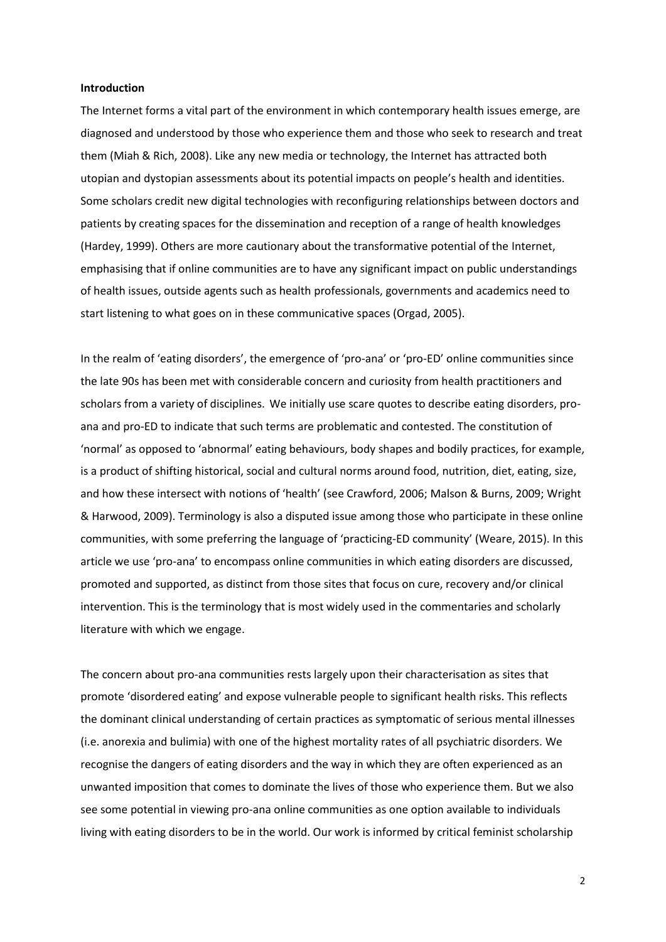#### **Introduction**

The Internet forms a vital part of the environment in which contemporary health issues emerge, are diagnosed and understood by those who experience them and those who seek to research and treat them (Miah & Rich, 2008). Like any new media or technology, the Internet has attracted both utopian and dystopian assessments about its potential impacts on people's health and identities. Some scholars credit new digital technologies with reconfiguring relationships between doctors and patients by creating spaces for the dissemination and reception of a range of health knowledges (Hardey, 1999). Others are more cautionary about the transformative potential of the Internet, emphasising that if online communities are to have any significant impact on public understandings of health issues, outside agents such as health professionals, governments and academics need to start listening to what goes on in these communicative spaces (Orgad, 2005).

In the realm of 'eating disorders', the emergence of 'pro-ana' or 'pro-ED' online communities since the late 90s has been met with considerable concern and curiosity from health practitioners and scholars from a variety of disciplines. We initially use scare quotes to describe eating disorders, proana and pro-ED to indicate that such terms are problematic and contested. The constitution of 'normal' as opposed to 'abnormal' eating behaviours, body shapes and bodily practices, for example, is a product of shifting historical, social and cultural norms around food, nutrition, diet, eating, size, and how these intersect with notions of 'health' (see Crawford, 2006; Malson & Burns, 2009; Wright & Harwood, 2009). Terminology is also a disputed issue among those who participate in these online communities, with some preferring the language of 'practicing-ED community' (Weare, 2015). In this article we use 'pro-ana' to encompass online communities in which eating disorders are discussed, promoted and supported, as distinct from those sites that focus on cure, recovery and/or clinical intervention. This is the terminology that is most widely used in the commentaries and scholarly literature with which we engage.

The concern about pro-ana communities rests largely upon their characterisation as sites that promote 'disordered eating' and expose vulnerable people to significant health risks. This reflects the dominant clinical understanding of certain practices as symptomatic of serious mental illnesses (i.e. anorexia and bulimia) with one of the highest mortality rates of all psychiatric disorders. We recognise the dangers of eating disorders and the way in which they are often experienced as an unwanted imposition that comes to dominate the lives of those who experience them. But we also see some potential in viewing pro-ana online communities as one option available to individuals living with eating disorders to be in the world. Our work is informed by critical feminist scholarship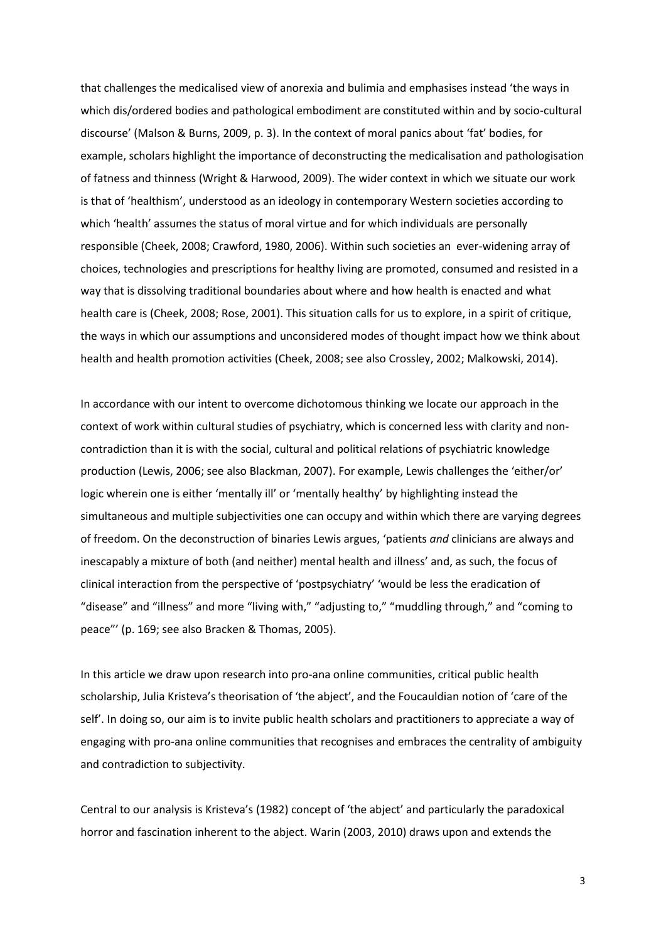that challenges the medicalised view of anorexia and bulimia and emphasises instead 'the ways in which dis/ordered bodies and pathological embodiment are constituted within and by socio-cultural discourse' (Malson & Burns, 2009, p. 3). In the context of moral panics about 'fat' bodies, for example, scholars highlight the importance of deconstructing the medicalisation and pathologisation of fatness and thinness (Wright & Harwood, 2009). The wider context in which we situate our work is that of 'healthism', understood as an ideology in contemporary Western societies according to which 'health' assumes the status of moral virtue and for which individuals are personally responsible (Cheek, 2008; Crawford, 1980, 2006). Within such societies an ever-widening array of choices, technologies and prescriptions for healthy living are promoted, consumed and resisted in a way that is dissolving traditional boundaries about where and how health is enacted and what health care is (Cheek, 2008; Rose, 2001). This situation calls for us to explore, in a spirit of critique, the ways in which our assumptions and unconsidered modes of thought impact how we think about health and health promotion activities (Cheek, 2008; see also Crossley, 2002; Malkowski, 2014).

In accordance with our intent to overcome dichotomous thinking we locate our approach in the context of work within cultural studies of psychiatry, which is concerned less with clarity and noncontradiction than it is with the social, cultural and political relations of psychiatric knowledge production (Lewis, 2006; see also Blackman, 2007). For example, Lewis challenges the 'either/or' logic wherein one is either 'mentally ill' or 'mentally healthy' by highlighting instead the simultaneous and multiple subjectivities one can occupy and within which there are varying degrees of freedom. On the deconstruction of binaries Lewis argues, 'patients *and* clinicians are always and inescapably a mixture of both (and neither) mental health and illness' and, as such, the focus of clinical interaction from the perspective of 'postpsychiatry' 'would be less the eradication of "disease" and "illness" and more "living with," "adjusting to," "muddling through," and "coming to peace"' (p. 169; see also Bracken & Thomas, 2005).

In this article we draw upon research into pro-ana online communities, critical public health scholarship, Julia Kristeva's theorisation of 'the abject', and the Foucauldian notion of 'care of the self'. In doing so, our aim is to invite public health scholars and practitioners to appreciate a way of engaging with pro-ana online communities that recognises and embraces the centrality of ambiguity and contradiction to subjectivity.

Central to our analysis is Kristeva's (1982) concept of 'the abject' and particularly the paradoxical horror and fascination inherent to the abject. Warin (2003, 2010) draws upon and extends the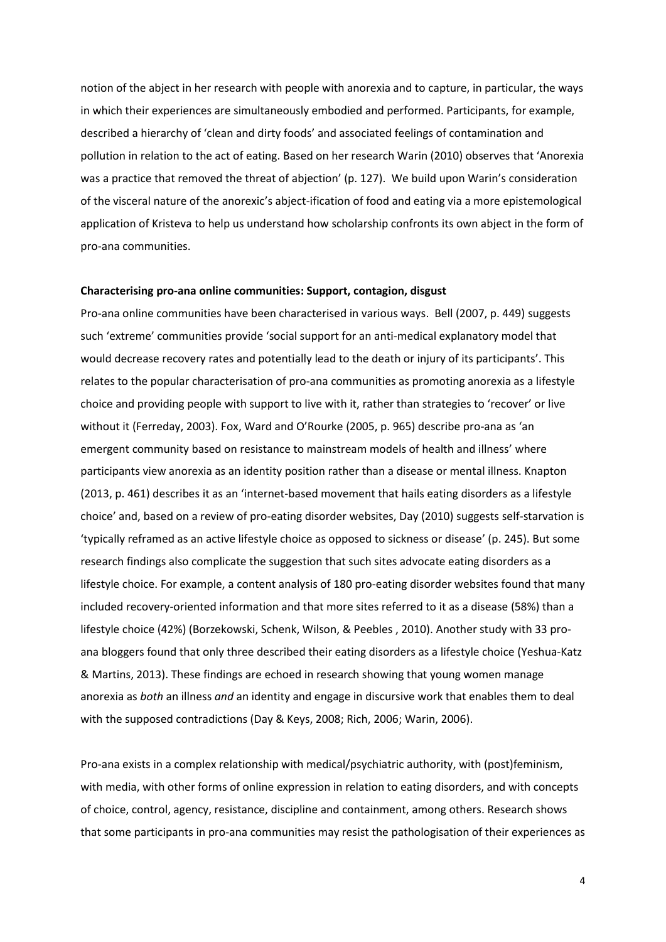notion of the abject in her research with people with anorexia and to capture, in particular, the ways in which their experiences are simultaneously embodied and performed. Participants, for example, described a hierarchy of 'clean and dirty foods' and associated feelings of contamination and pollution in relation to the act of eating. Based on her research Warin (2010) observes that 'Anorexia was a practice that removed the threat of abjection' (p. 127). We build upon Warin's consideration of the visceral nature of the anorexic's abject-ification of food and eating via a more epistemological application of Kristeva to help us understand how scholarship confronts its own abject in the form of pro-ana communities.

### **Characterising pro-ana online communities: Support, contagion, disgust**

Pro-ana online communities have been characterised in various ways. Bell (2007, p. 449) suggests such 'extreme' communities provide 'social support for an anti-medical explanatory model that would decrease recovery rates and potentially lead to the death or injury of its participants'. This relates to the popular characterisation of pro-ana communities as promoting anorexia as a lifestyle choice and providing people with support to live with it, rather than strategies to 'recover' or live without it (Ferreday, 2003). Fox, Ward and O'Rourke (2005, p. 965) describe pro-ana as 'an emergent community based on resistance to mainstream models of health and illness' where participants view anorexia as an identity position rather than a disease or mental illness. Knapton (2013, p. 461) describes it as an 'internet-based movement that hails eating disorders as a lifestyle choice' and, based on a review of pro-eating disorder websites, Day (2010) suggests self-starvation is 'typically reframed as an active lifestyle choice as opposed to sickness or disease' (p. 245). But some research findings also complicate the suggestion that such sites advocate eating disorders as a lifestyle choice. For example, a content analysis of 180 pro-eating disorder websites found that many included recovery-oriented information and that more sites referred to it as a disease (58%) than a lifestyle choice (42%) (Borzekowski, Schenk, Wilson, & Peebles , 2010). Another study with 33 proana bloggers found that only three described their eating disorders as a lifestyle choice (Yeshua-Katz & Martins, 2013). These findings are echoed in research showing that young women manage anorexia as *both* an illness *and* an identity and engage in discursive work that enables them to deal with the supposed contradictions (Day & Keys, 2008; Rich, 2006; Warin, 2006).

Pro-ana exists in a complex relationship with medical/psychiatric authority, with (post)feminism, with media, with other forms of online expression in relation to eating disorders, and with concepts of choice, control, agency, resistance, discipline and containment, among others. Research shows that some participants in pro-ana communities may resist the pathologisation of their experiences as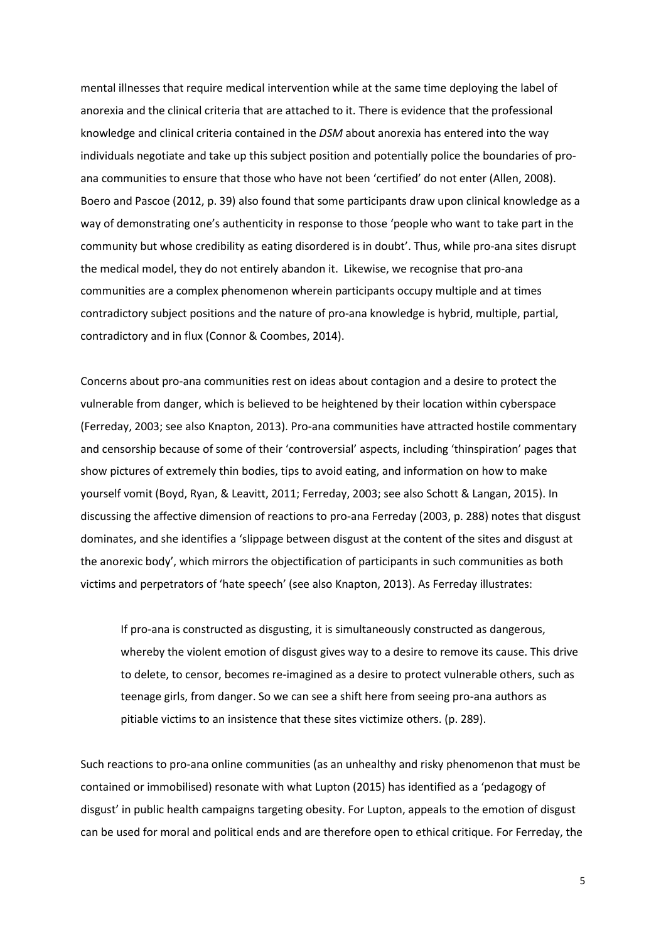mental illnesses that require medical intervention while at the same time deploying the label of anorexia and the clinical criteria that are attached to it. There is evidence that the professional knowledge and clinical criteria contained in the *DSM* about anorexia has entered into the way individuals negotiate and take up this subject position and potentially police the boundaries of proana communities to ensure that those who have not been 'certified' do not enter (Allen, 2008). Boero and Pascoe (2012, p. 39) also found that some participants draw upon clinical knowledge as a way of demonstrating one's authenticity in response to those 'people who want to take part in the community but whose credibility as eating disordered is in doubt'. Thus, while pro-ana sites disrupt the medical model, they do not entirely abandon it. Likewise, we recognise that pro-ana communities are a complex phenomenon wherein participants occupy multiple and at times contradictory subject positions and the nature of pro-ana knowledge is hybrid, multiple, partial, contradictory and in flux (Connor & Coombes, 2014).

Concerns about pro-ana communities rest on ideas about contagion and a desire to protect the vulnerable from danger, which is believed to be heightened by their location within cyberspace (Ferreday, 2003; see also Knapton, 2013). Pro-ana communities have attracted hostile commentary and censorship because of some of their 'controversial' aspects, including 'thinspiration' pages that show pictures of extremely thin bodies, tips to avoid eating, and information on how to make yourself vomit (Boyd, Ryan, & Leavitt, 2011; Ferreday, 2003; see also Schott & Langan, 2015). In discussing the affective dimension of reactions to pro-ana Ferreday (2003, p. 288) notes that disgust dominates, and she identifies a 'slippage between disgust at the content of the sites and disgust at the anorexic body', which mirrors the objectification of participants in such communities as both victims and perpetrators of 'hate speech' (see also Knapton, 2013). As Ferreday illustrates:

If pro-ana is constructed as disgusting, it is simultaneously constructed as dangerous, whereby the violent emotion of disgust gives way to a desire to remove its cause. This drive to delete, to censor, becomes re-imagined as a desire to protect vulnerable others, such as teenage girls, from danger. So we can see a shift here from seeing pro-ana authors as pitiable victims to an insistence that these sites victimize others. (p. 289).

Such reactions to pro-ana online communities (as an unhealthy and risky phenomenon that must be contained or immobilised) resonate with what Lupton (2015) has identified as a 'pedagogy of disgust' in public health campaigns targeting obesity. For Lupton, appeals to the emotion of disgust can be used for moral and political ends and are therefore open to ethical critique. For Ferreday, the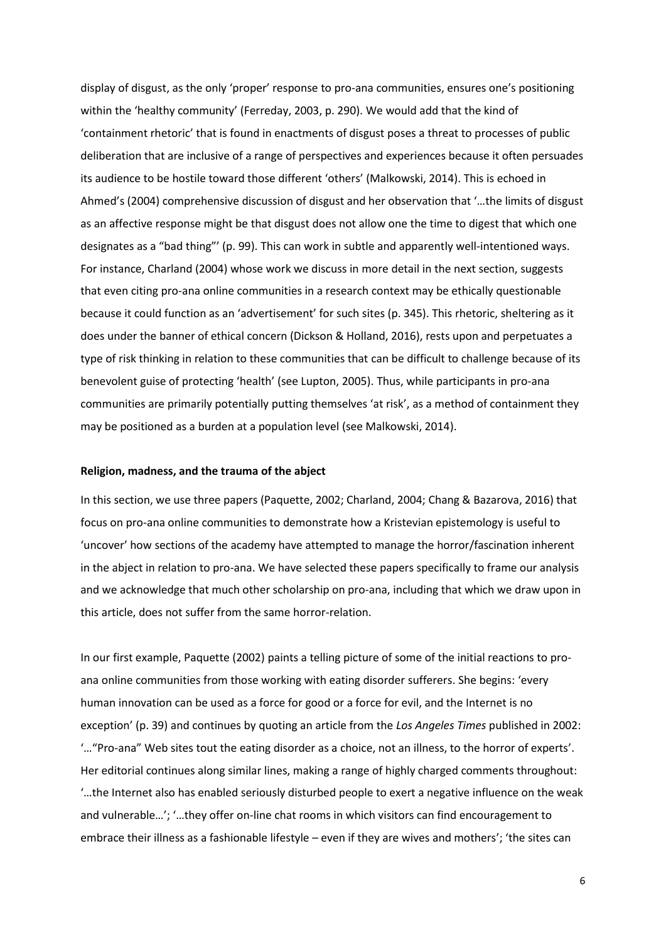display of disgust, as the only 'proper' response to pro-ana communities, ensures one's positioning within the 'healthy community' (Ferreday, 2003, p. 290). We would add that the kind of 'containment rhetoric' that is found in enactments of disgust poses a threat to processes of public deliberation that are inclusive of a range of perspectives and experiences because it often persuades its audience to be hostile toward those different 'others' (Malkowski, 2014). This is echoed in Ahmed's (2004) comprehensive discussion of disgust and her observation that '…the limits of disgust as an affective response might be that disgust does not allow one the time to digest that which one designates as a "bad thing"' (p. 99). This can work in subtle and apparently well-intentioned ways. For instance, Charland (2004) whose work we discuss in more detail in the next section, suggests that even citing pro-ana online communities in a research context may be ethically questionable because it could function as an 'advertisement' for such sites (p. 345). This rhetoric, sheltering as it does under the banner of ethical concern (Dickson & Holland, 2016), rests upon and perpetuates a type of risk thinking in relation to these communities that can be difficult to challenge because of its benevolent guise of protecting 'health' (see Lupton, 2005). Thus, while participants in pro-ana communities are primarily potentially putting themselves 'at risk', as a method of containment they may be positioned as a burden at a population level (see Malkowski, 2014).

### **Religion, madness, and the trauma of the abject**

In this section, we use three papers (Paquette, 2002; Charland, 2004; Chang & Bazarova, 2016) that focus on pro-ana online communities to demonstrate how a Kristevian epistemology is useful to 'uncover' how sections of the academy have attempted to manage the horror/fascination inherent in the abject in relation to pro-ana. We have selected these papers specifically to frame our analysis and we acknowledge that much other scholarship on pro-ana, including that which we draw upon in this article, does not suffer from the same horror-relation.

In our first example, Paquette (2002) paints a telling picture of some of the initial reactions to proana online communities from those working with eating disorder sufferers. She begins: 'every human innovation can be used as a force for good or a force for evil, and the Internet is no exception' (p. 39) and continues by quoting an article from the *Los Angeles Times* published in 2002: '…"Pro-ana" Web sites tout the eating disorder as a choice, not an illness, to the horror of experts'. Her editorial continues along similar lines, making a range of highly charged comments throughout: '…the Internet also has enabled seriously disturbed people to exert a negative influence on the weak and vulnerable…'; '…they offer on-line chat rooms in which visitors can find encouragement to embrace their illness as a fashionable lifestyle – even if they are wives and mothers'; 'the sites can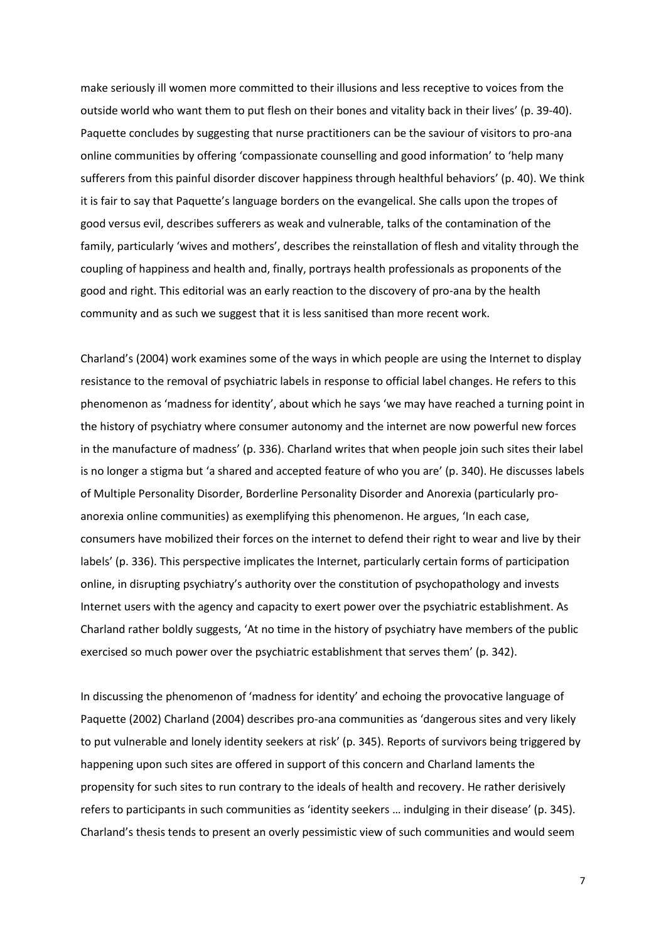make seriously ill women more committed to their illusions and less receptive to voices from the outside world who want them to put flesh on their bones and vitality back in their lives' (p. 39-40). Paquette concludes by suggesting that nurse practitioners can be the saviour of visitors to pro-ana online communities by offering 'compassionate counselling and good information' to 'help many sufferers from this painful disorder discover happiness through healthful behaviors' (p. 40). We think it is fair to say that Paquette's language borders on the evangelical. She calls upon the tropes of good versus evil, describes sufferers as weak and vulnerable, talks of the contamination of the family, particularly 'wives and mothers', describes the reinstallation of flesh and vitality through the coupling of happiness and health and, finally, portrays health professionals as proponents of the good and right. This editorial was an early reaction to the discovery of pro-ana by the health community and as such we suggest that it is less sanitised than more recent work.

Charland's (2004) work examines some of the ways in which people are using the Internet to display resistance to the removal of psychiatric labels in response to official label changes. He refers to this phenomenon as 'madness for identity', about which he says 'we may have reached a turning point in the history of psychiatry where consumer autonomy and the internet are now powerful new forces in the manufacture of madness' (p. 336). Charland writes that when people join such sites their label is no longer a stigma but 'a shared and accepted feature of who you are' (p. 340). He discusses labels of Multiple Personality Disorder, Borderline Personality Disorder and Anorexia (particularly proanorexia online communities) as exemplifying this phenomenon. He argues, 'In each case, consumers have mobilized their forces on the internet to defend their right to wear and live by their labels' (p. 336). This perspective implicates the Internet, particularly certain forms of participation online, in disrupting psychiatry's authority over the constitution of psychopathology and invests Internet users with the agency and capacity to exert power over the psychiatric establishment. As Charland rather boldly suggests, 'At no time in the history of psychiatry have members of the public exercised so much power over the psychiatric establishment that serves them' (p. 342).

In discussing the phenomenon of 'madness for identity' and echoing the provocative language of Paquette (2002) Charland (2004) describes pro-ana communities as 'dangerous sites and very likely to put vulnerable and lonely identity seekers at risk' (p. 345). Reports of survivors being triggered by happening upon such sites are offered in support of this concern and Charland laments the propensity for such sites to run contrary to the ideals of health and recovery. He rather derisively refers to participants in such communities as 'identity seekers … indulging in their disease' (p. 345). Charland's thesis tends to present an overly pessimistic view of such communities and would seem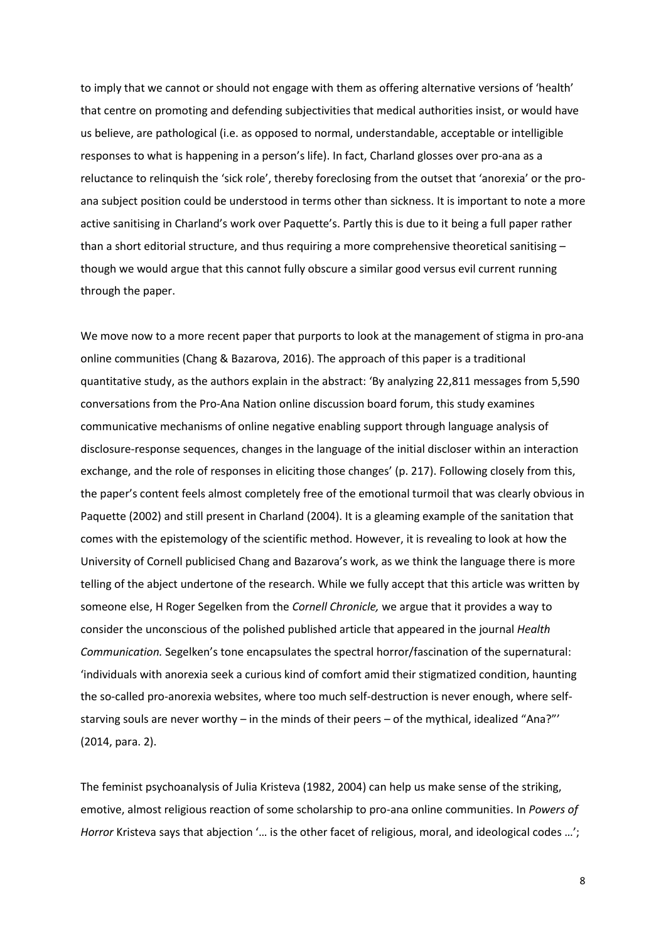to imply that we cannot or should not engage with them as offering alternative versions of 'health' that centre on promoting and defending subjectivities that medical authorities insist, or would have us believe, are pathological (i.e. as opposed to normal, understandable, acceptable or intelligible responses to what is happening in a person's life). In fact, Charland glosses over pro-ana as a reluctance to relinquish the 'sick role', thereby foreclosing from the outset that 'anorexia' or the proana subject position could be understood in terms other than sickness. It is important to note a more active sanitising in Charland's work over Paquette's. Partly this is due to it being a full paper rather than a short editorial structure, and thus requiring a more comprehensive theoretical sanitising – though we would argue that this cannot fully obscure a similar good versus evil current running through the paper.

We move now to a more recent paper that purports to look at the management of stigma in pro-ana online communities (Chang & Bazarova, 2016). The approach of this paper is a traditional quantitative study, as the authors explain in the abstract: 'By analyzing 22,811 messages from 5,590 conversations from the Pro-Ana Nation online discussion board forum, this study examines communicative mechanisms of online negative enabling support through language analysis of disclosure-response sequences, changes in the language of the initial discloser within an interaction exchange, and the role of responses in eliciting those changes' (p. 217). Following closely from this, the paper's content feels almost completely free of the emotional turmoil that was clearly obvious in Paquette (2002) and still present in Charland (2004). It is a gleaming example of the sanitation that comes with the epistemology of the scientific method. However, it is revealing to look at how the University of Cornell publicised Chang and Bazarova's work, as we think the language there is more telling of the abject undertone of the research. While we fully accept that this article was written by someone else, H Roger Segelken from the *Cornell Chronicle,* we argue that it provides a way to consider the unconscious of the polished published article that appeared in the journal *Health Communication.* Segelken's tone encapsulates the spectral horror/fascination of the supernatural: 'individuals with anorexia seek a curious kind of comfort amid their stigmatized condition, haunting the so-called pro-anorexia websites, where too much self-destruction is never enough, where selfstarving souls are never worthy – in the minds of their peers – of the mythical, idealized "Ana?"' (2014, para. 2).

The feminist psychoanalysis of Julia Kristeva (1982, 2004) can help us make sense of the striking, emotive, almost religious reaction of some scholarship to pro-ana online communities. In *Powers of Horror* Kristeva says that abjection '… is the other facet of religious, moral, and ideological codes …';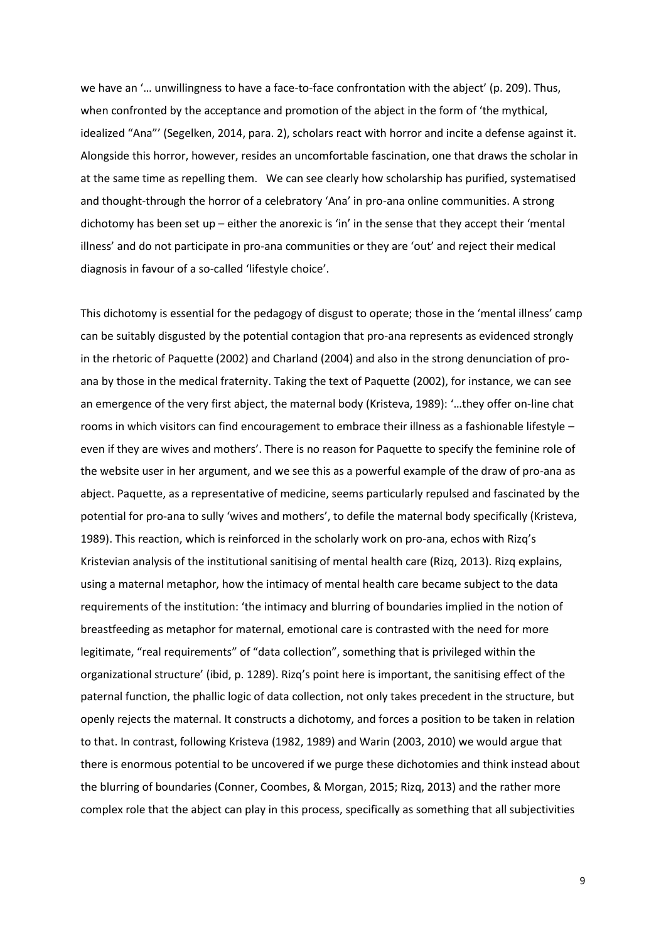we have an '… unwillingness to have a face-to-face confrontation with the abject' (p. 209). Thus, when confronted by the acceptance and promotion of the abject in the form of 'the mythical, idealized "Ana"' (Segelken, 2014, para. 2), scholars react with horror and incite a defense against it. Alongside this horror, however, resides an uncomfortable fascination, one that draws the scholar in at the same time as repelling them. We can see clearly how scholarship has purified, systematised and thought-through the horror of a celebratory 'Ana' in pro-ana online communities. A strong dichotomy has been set up – either the anorexic is 'in' in the sense that they accept their 'mental illness' and do not participate in pro-ana communities or they are 'out' and reject their medical diagnosis in favour of a so-called 'lifestyle choice'.

This dichotomy is essential for the pedagogy of disgust to operate; those in the 'mental illness' camp can be suitably disgusted by the potential contagion that pro-ana represents as evidenced strongly in the rhetoric of Paquette (2002) and Charland (2004) and also in the strong denunciation of proana by those in the medical fraternity. Taking the text of Paquette (2002), for instance, we can see an emergence of the very first abject, the maternal body (Kristeva, 1989): '…they offer on-line chat rooms in which visitors can find encouragement to embrace their illness as a fashionable lifestyle – even if they are wives and mothers'. There is no reason for Paquette to specify the feminine role of the website user in her argument, and we see this as a powerful example of the draw of pro-ana as abject. Paquette, as a representative of medicine, seems particularly repulsed and fascinated by the potential for pro-ana to sully 'wives and mothers', to defile the maternal body specifically (Kristeva, 1989). This reaction, which is reinforced in the scholarly work on pro-ana, echos with Rizq's Kristevian analysis of the institutional sanitising of mental health care (Rizq, 2013). Rizq explains, using a maternal metaphor, how the intimacy of mental health care became subject to the data requirements of the institution: 'the intimacy and blurring of boundaries implied in the notion of breastfeeding as metaphor for maternal, emotional care is contrasted with the need for more legitimate, "real requirements" of "data collection", something that is privileged within the organizational structure' (ibid, p. 1289). Rizq's point here is important, the sanitising effect of the paternal function, the phallic logic of data collection, not only takes precedent in the structure, but openly rejects the maternal. It constructs a dichotomy, and forces a position to be taken in relation to that. In contrast, following Kristeva (1982, 1989) and Warin (2003, 2010) we would argue that there is enormous potential to be uncovered if we purge these dichotomies and think instead about the blurring of boundaries (Conner, Coombes, & Morgan, 2015; Rizq, 2013) and the rather more complex role that the abject can play in this process, specifically as something that all subjectivities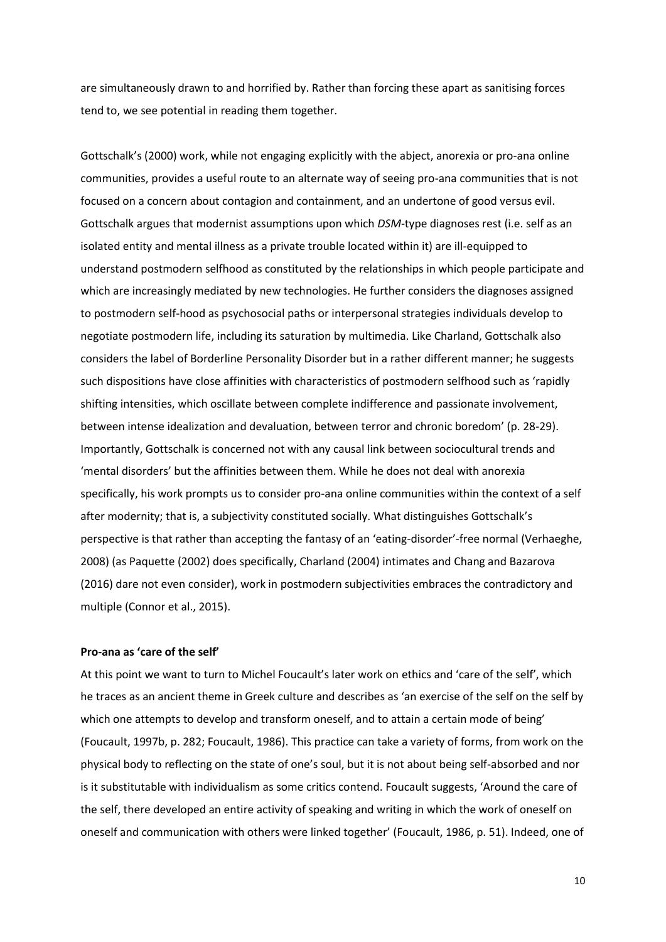are simultaneously drawn to and horrified by. Rather than forcing these apart as sanitising forces tend to, we see potential in reading them together.

Gottschalk's (2000) work, while not engaging explicitly with the abject, anorexia or pro-ana online communities, provides a useful route to an alternate way of seeing pro-ana communities that is not focused on a concern about contagion and containment, and an undertone of good versus evil. Gottschalk argues that modernist assumptions upon which *DSM*-type diagnoses rest (i.e. self as an isolated entity and mental illness as a private trouble located within it) are ill-equipped to understand postmodern selfhood as constituted by the relationships in which people participate and which are increasingly mediated by new technologies. He further considers the diagnoses assigned to postmodern self-hood as psychosocial paths or interpersonal strategies individuals develop to negotiate postmodern life, including its saturation by multimedia. Like Charland, Gottschalk also considers the label of Borderline Personality Disorder but in a rather different manner; he suggests such dispositions have close affinities with characteristics of postmodern selfhood such as 'rapidly shifting intensities, which oscillate between complete indifference and passionate involvement, between intense idealization and devaluation, between terror and chronic boredom' (p. 28-29). Importantly, Gottschalk is concerned not with any causal link between sociocultural trends and 'mental disorders' but the affinities between them. While he does not deal with anorexia specifically, his work prompts us to consider pro-ana online communities within the context of a self after modernity; that is, a subjectivity constituted socially. What distinguishes Gottschalk's perspective is that rather than accepting the fantasy of an 'eating-disorder'-free normal (Verhaeghe, 2008) (as Paquette (2002) does specifically, Charland (2004) intimates and Chang and Bazarova (2016) dare not even consider), work in postmodern subjectivities embraces the contradictory and multiple (Connor et al., 2015).

#### **Pro-ana as 'care of the self'**

At this point we want to turn to Michel Foucault's later work on ethics and 'care of the self', which he traces as an ancient theme in Greek culture and describes as 'an exercise of the self on the self by which one attempts to develop and transform oneself, and to attain a certain mode of being' (Foucault, 1997b, p. 282; Foucault, 1986). This practice can take a variety of forms, from work on the physical body to reflecting on the state of one's soul, but it is not about being self-absorbed and nor is it substitutable with individualism as some critics contend. Foucault suggests, 'Around the care of the self, there developed an entire activity of speaking and writing in which the work of oneself on oneself and communication with others were linked together' (Foucault, 1986, p. 51). Indeed, one of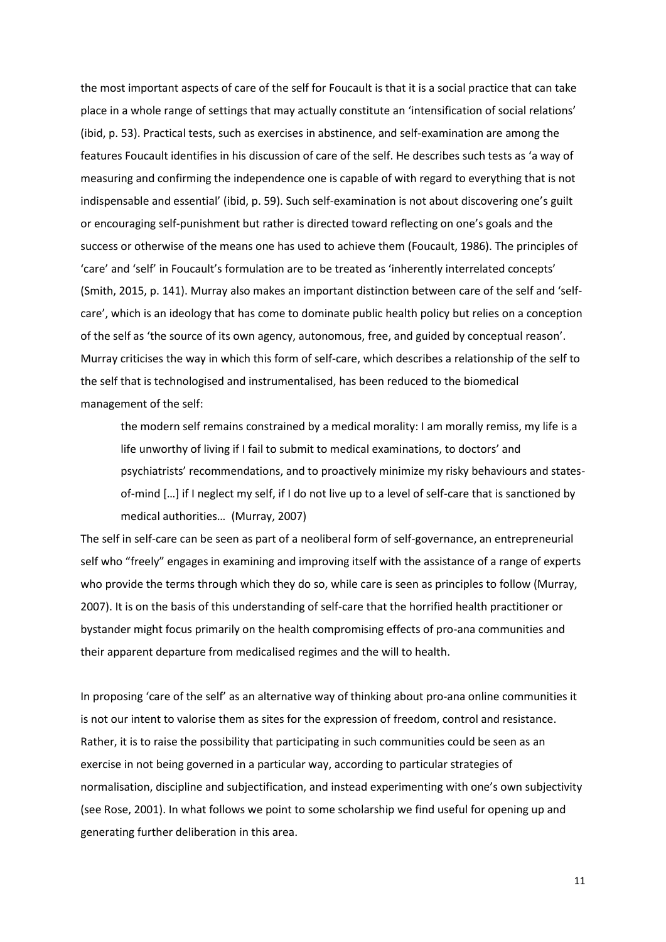the most important aspects of care of the self for Foucault is that it is a social practice that can take place in a whole range of settings that may actually constitute an 'intensification of social relations' (ibid, p. 53). Practical tests, such as exercises in abstinence, and self-examination are among the features Foucault identifies in his discussion of care of the self. He describes such tests as 'a way of measuring and confirming the independence one is capable of with regard to everything that is not indispensable and essential' (ibid, p. 59). Such self-examination is not about discovering one's guilt or encouraging self-punishment but rather is directed toward reflecting on one's goals and the success or otherwise of the means one has used to achieve them (Foucault, 1986). The principles of 'care' and 'self' in Foucault's formulation are to be treated as 'inherently interrelated concepts' (Smith, 2015, p. 141). Murray also makes an important distinction between care of the self and 'selfcare', which is an ideology that has come to dominate public health policy but relies on a conception of the self as 'the source of its own agency, autonomous, free, and guided by conceptual reason'. Murray criticises the way in which this form of self-care, which describes a relationship of the self to the self that is technologised and instrumentalised, has been reduced to the biomedical management of the self:

the modern self remains constrained by a medical morality: I am morally remiss, my life is a life unworthy of living if I fail to submit to medical examinations, to doctors' and psychiatrists' recommendations, and to proactively minimize my risky behaviours and statesof-mind […] if I neglect my self, if I do not live up to a level of self-care that is sanctioned by medical authorities… (Murray, 2007)

The self in self-care can be seen as part of a neoliberal form of self-governance, an entrepreneurial self who "freely" engages in examining and improving itself with the assistance of a range of experts who provide the terms through which they do so, while care is seen as principles to follow (Murray, 2007). It is on the basis of this understanding of self-care that the horrified health practitioner or bystander might focus primarily on the health compromising effects of pro-ana communities and their apparent departure from medicalised regimes and the will to health.

In proposing 'care of the self' as an alternative way of thinking about pro-ana online communities it is not our intent to valorise them as sites for the expression of freedom, control and resistance. Rather, it is to raise the possibility that participating in such communities could be seen as an exercise in not being governed in a particular way, according to particular strategies of normalisation, discipline and subjectification, and instead experimenting with one's own subjectivity (see Rose, 2001). In what follows we point to some scholarship we find useful for opening up and generating further deliberation in this area.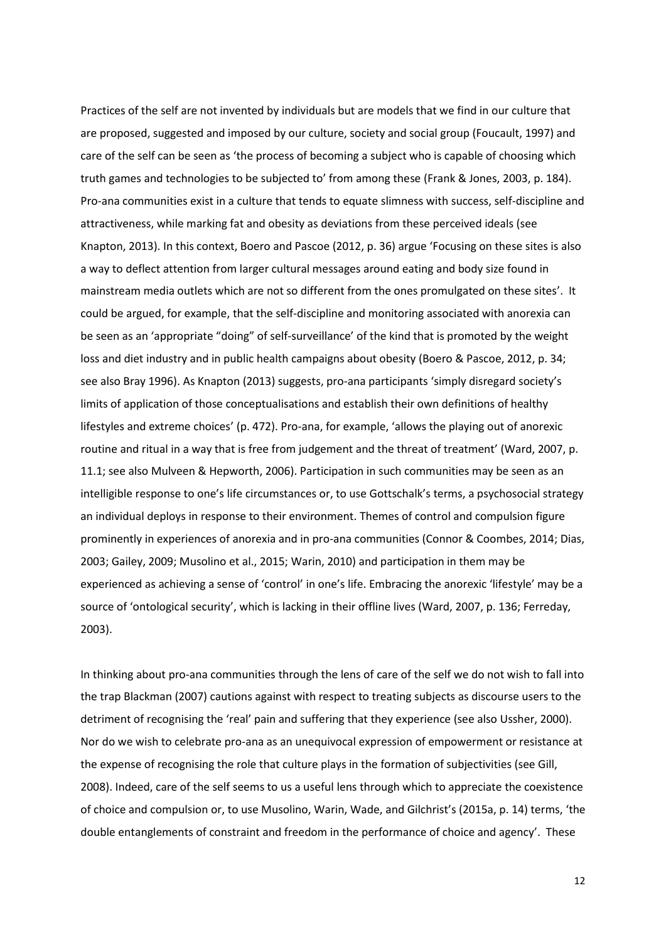Practices of the self are not invented by individuals but are models that we find in our culture that are proposed, suggested and imposed by our culture, society and social group (Foucault, 1997) and care of the self can be seen as 'the process of becoming a subject who is capable of choosing which truth games and technologies to be subjected to' from among these (Frank & Jones, 2003, p. 184). Pro-ana communities exist in a culture that tends to equate slimness with success, self-discipline and attractiveness, while marking fat and obesity as deviations from these perceived ideals (see Knapton, 2013). In this context, Boero and Pascoe (2012, p. 36) argue 'Focusing on these sites is also a way to deflect attention from larger cultural messages around eating and body size found in mainstream media outlets which are not so different from the ones promulgated on these sites'. It could be argued, for example, that the self-discipline and monitoring associated with anorexia can be seen as an 'appropriate "doing" of self-surveillance' of the kind that is promoted by the weight loss and diet industry and in public health campaigns about obesity (Boero & Pascoe, 2012, p. 34; see also Bray 1996). As Knapton (2013) suggests, pro-ana participants 'simply disregard society's limits of application of those conceptualisations and establish their own definitions of healthy lifestyles and extreme choices' (p. 472). Pro-ana, for example, 'allows the playing out of anorexic routine and ritual in a way that is free from judgement and the threat of treatment' (Ward, 2007, p. 11.1; see also Mulveen & Hepworth, 2006). Participation in such communities may be seen as an intelligible response to one's life circumstances or, to use Gottschalk's terms, a psychosocial strategy an individual deploys in response to their environment. Themes of control and compulsion figure prominently in experiences of anorexia and in pro-ana communities (Connor & Coombes, 2014; Dias, 2003; Gailey, 2009; Musolino et al., 2015; Warin, 2010) and participation in them may be experienced as achieving a sense of 'control' in one's life. Embracing the anorexic 'lifestyle' may be a source of 'ontological security', which is lacking in their offline lives (Ward, 2007, p. 136; Ferreday, 2003).

In thinking about pro-ana communities through the lens of care of the self we do not wish to fall into the trap Blackman (2007) cautions against with respect to treating subjects as discourse users to the detriment of recognising the 'real' pain and suffering that they experience (see also Ussher, 2000). Nor do we wish to celebrate pro-ana as an unequivocal expression of empowerment or resistance at the expense of recognising the role that culture plays in the formation of subjectivities (see Gill, 2008). Indeed, care of the self seems to us a useful lens through which to appreciate the coexistence of choice and compulsion or, to use Musolino, Warin, Wade, and Gilchrist's (2015a, p. 14) terms, 'the double entanglements of constraint and freedom in the performance of choice and agency'. These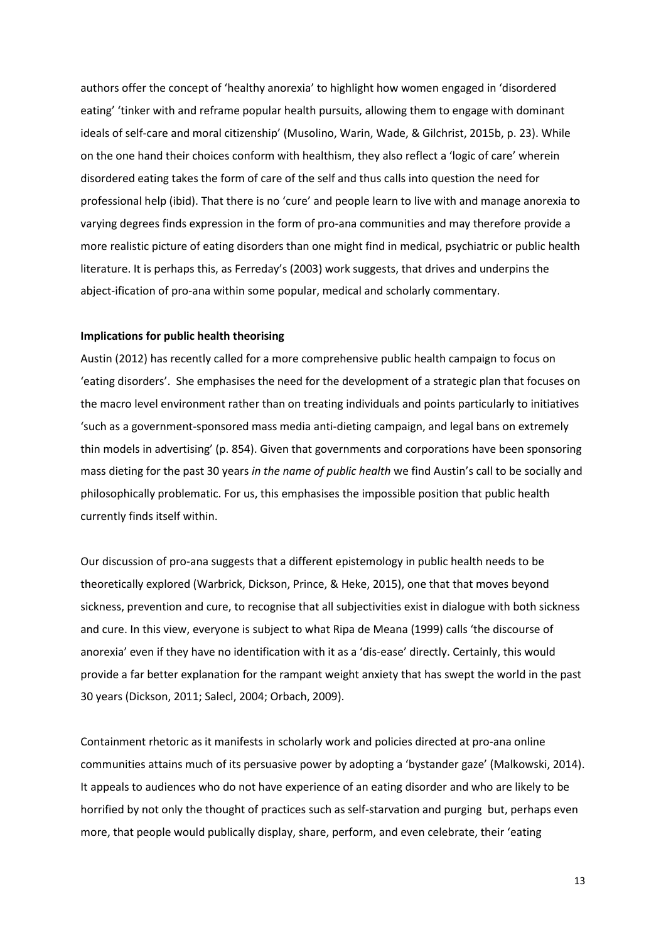authors offer the concept of 'healthy anorexia' to highlight how women engaged in 'disordered eating' 'tinker with and reframe popular health pursuits, allowing them to engage with dominant ideals of self-care and moral citizenship' (Musolino, Warin, Wade, & Gilchrist, 2015b, p. 23). While on the one hand their choices conform with healthism, they also reflect a 'logic of care' wherein disordered eating takes the form of care of the self and thus calls into question the need for professional help (ibid). That there is no 'cure' and people learn to live with and manage anorexia to varying degrees finds expression in the form of pro-ana communities and may therefore provide a more realistic picture of eating disorders than one might find in medical, psychiatric or public health literature. It is perhaps this, as Ferreday's (2003) work suggests, that drives and underpins the abject-ification of pro-ana within some popular, medical and scholarly commentary.

### **Implications for public health theorising**

Austin (2012) has recently called for a more comprehensive public health campaign to focus on 'eating disorders'. She emphasises the need for the development of a strategic plan that focuses on the macro level environment rather than on treating individuals and points particularly to initiatives 'such as a government-sponsored mass media anti-dieting campaign, and legal bans on extremely thin models in advertising' (p. 854). Given that governments and corporations have been sponsoring mass dieting for the past 30 years *in the name of public health* we find Austin's call to be socially and philosophically problematic. For us, this emphasises the impossible position that public health currently finds itself within.

Our discussion of pro-ana suggests that a different epistemology in public health needs to be theoretically explored (Warbrick, Dickson, Prince, & Heke, 2015), one that that moves beyond sickness, prevention and cure, to recognise that all subjectivities exist in dialogue with both sickness and cure. In this view, everyone is subject to what Ripa de Meana (1999) calls 'the discourse of anorexia' even if they have no identification with it as a 'dis-ease' directly. Certainly, this would provide a far better explanation for the rampant weight anxiety that has swept the world in the past 30 years (Dickson, 2011; Salecl, 2004; Orbach, 2009).

Containment rhetoric as it manifests in scholarly work and policies directed at pro-ana online communities attains much of its persuasive power by adopting a 'bystander gaze' (Malkowski, 2014). It appeals to audiences who do not have experience of an eating disorder and who are likely to be horrified by not only the thought of practices such as self-starvation and purging but, perhaps even more, that people would publically display, share, perform, and even celebrate, their 'eating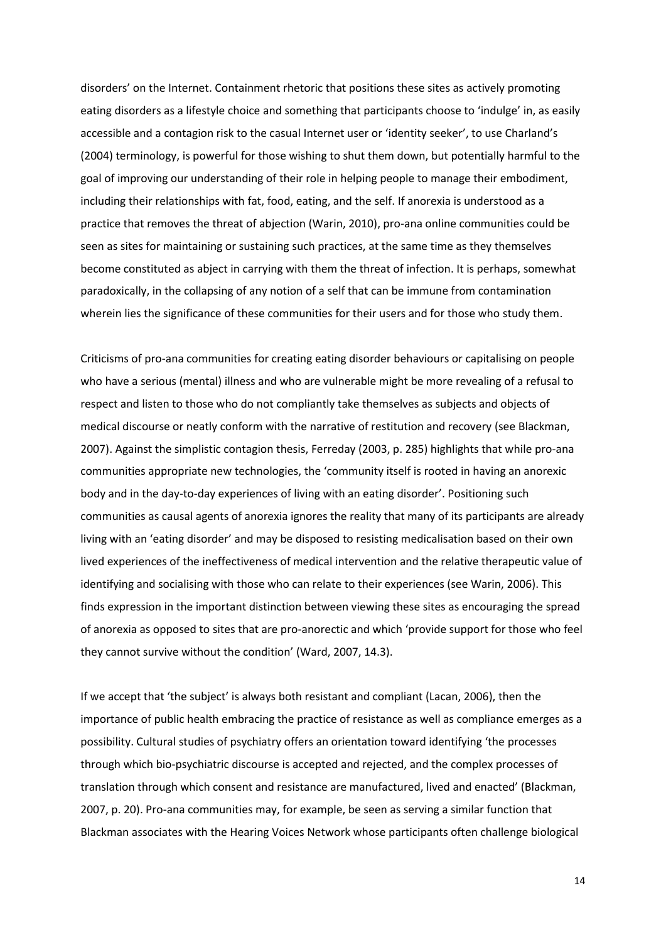disorders' on the Internet. Containment rhetoric that positions these sites as actively promoting eating disorders as a lifestyle choice and something that participants choose to 'indulge' in, as easily accessible and a contagion risk to the casual Internet user or 'identity seeker', to use Charland's (2004) terminology, is powerful for those wishing to shut them down, but potentially harmful to the goal of improving our understanding of their role in helping people to manage their embodiment, including their relationships with fat, food, eating, and the self. If anorexia is understood as a practice that removes the threat of abjection (Warin, 2010), pro-ana online communities could be seen as sites for maintaining or sustaining such practices, at the same time as they themselves become constituted as abject in carrying with them the threat of infection. It is perhaps, somewhat paradoxically, in the collapsing of any notion of a self that can be immune from contamination wherein lies the significance of these communities for their users and for those who study them.

Criticisms of pro-ana communities for creating eating disorder behaviours or capitalising on people who have a serious (mental) illness and who are vulnerable might be more revealing of a refusal to respect and listen to those who do not compliantly take themselves as subjects and objects of medical discourse or neatly conform with the narrative of restitution and recovery (see Blackman, 2007). Against the simplistic contagion thesis, Ferreday (2003, p. 285) highlights that while pro-ana communities appropriate new technologies, the 'community itself is rooted in having an anorexic body and in the day-to-day experiences of living with an eating disorder'. Positioning such communities as causal agents of anorexia ignores the reality that many of its participants are already living with an 'eating disorder' and may be disposed to resisting medicalisation based on their own lived experiences of the ineffectiveness of medical intervention and the relative therapeutic value of identifying and socialising with those who can relate to their experiences (see Warin, 2006). This finds expression in the important distinction between viewing these sites as encouraging the spread of anorexia as opposed to sites that are pro-anorectic and which 'provide support for those who feel they cannot survive without the condition' (Ward, 2007, 14.3).

If we accept that 'the subject' is always both resistant and compliant (Lacan, 2006), then the importance of public health embracing the practice of resistance as well as compliance emerges as a possibility. Cultural studies of psychiatry offers an orientation toward identifying 'the processes through which bio-psychiatric discourse is accepted and rejected, and the complex processes of translation through which consent and resistance are manufactured, lived and enacted' (Blackman, 2007, p. 20). Pro-ana communities may, for example, be seen as serving a similar function that Blackman associates with the Hearing Voices Network whose participants often challenge biological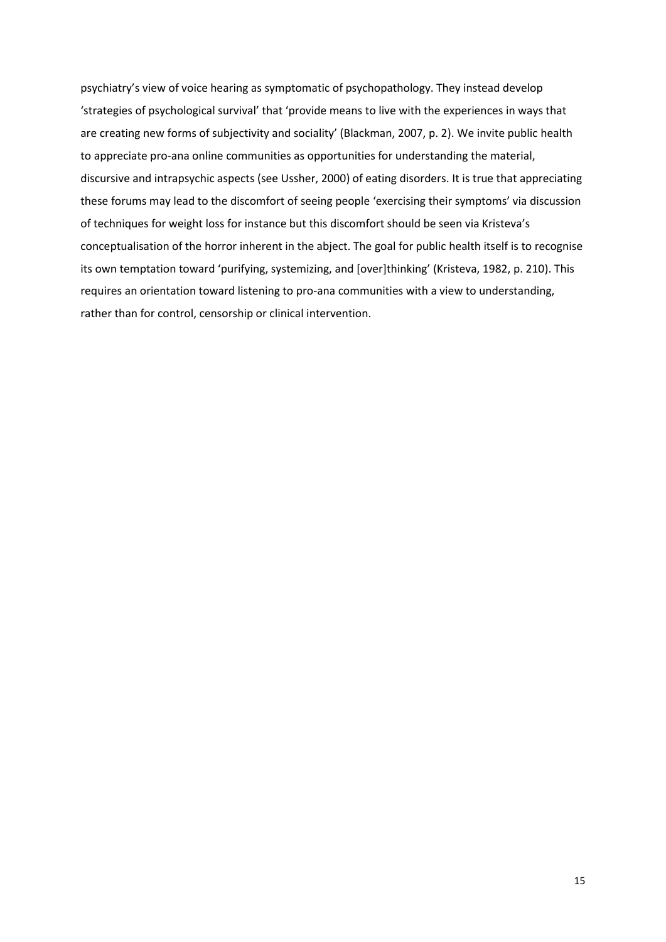psychiatry's view of voice hearing as symptomatic of psychopathology. They instead develop 'strategies of psychological survival' that 'provide means to live with the experiences in ways that are creating new forms of subjectivity and sociality' (Blackman, 2007, p. 2). We invite public health to appreciate pro-ana online communities as opportunities for understanding the material, discursive and intrapsychic aspects (see Ussher, 2000) of eating disorders. It is true that appreciating these forums may lead to the discomfort of seeing people 'exercising their symptoms' via discussion of techniques for weight loss for instance but this discomfort should be seen via Kristeva's conceptualisation of the horror inherent in the abject. The goal for public health itself is to recognise its own temptation toward 'purifying, systemizing, and [over]thinking' (Kristeva, 1982, p. 210). This requires an orientation toward listening to pro-ana communities with a view to understanding, rather than for control, censorship or clinical intervention.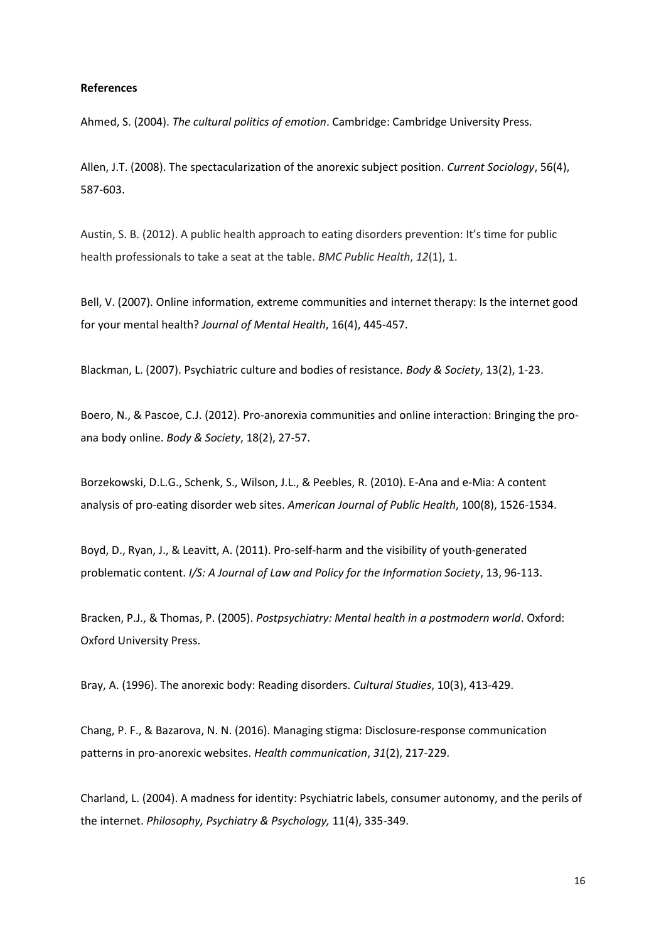#### **References**

Ahmed, S. (2004). *The cultural politics of emotion*. Cambridge: Cambridge University Press.

Allen, J.T. (2008). The spectacularization of the anorexic subject position. *Current Sociology*, 56(4), 587-603.

Austin, S. B. (2012). A public health approach to eating disorders prevention: It's time for public health professionals to take a seat at the table. *BMC Public Health*, *12*(1), 1.

Bell, V. (2007). Online information, extreme communities and internet therapy: Is the internet good for your mental health? *Journal of Mental Health*, 16(4), 445-457.

Blackman, L. (2007). Psychiatric culture and bodies of resistance. *Body & Society*, 13(2), 1-23.

Boero, N., & Pascoe, C.J. (2012). Pro-anorexia communities and online interaction: Bringing the proana body online. *Body & Society*, 18(2), 27-57.

Borzekowski, D.L.G., Schenk, S., Wilson, J.L., & Peebles, R. (2010). E-Ana and e-Mia: A content analysis of pro-eating disorder web sites. *American Journal of Public Health*, 100(8), 1526-1534.

Boyd, D., Ryan, J., & Leavitt, A. (2011). Pro-self-harm and the visibility of youth-generated problematic content. *I/S: A Journal of Law and Policy for the Information Society*, 13, 96-113.

Bracken, P.J., & Thomas, P. (2005). *Postpsychiatry: Mental health in a postmodern world*. Oxford: Oxford University Press.

Bray, A. (1996). The anorexic body: Reading disorders. *Cultural Studies*, 10(3), 413-429.

Chang, P. F., & Bazarova, N. N. (2016). Managing stigma: Disclosure-response communication patterns in pro-anorexic websites. *Health communication*, *31*(2), 217-229.

Charland, L. (2004). A madness for identity: Psychiatric labels, consumer autonomy, and the perils of the internet. *Philosophy, Psychiatry & Psychology,* 11(4), 335-349.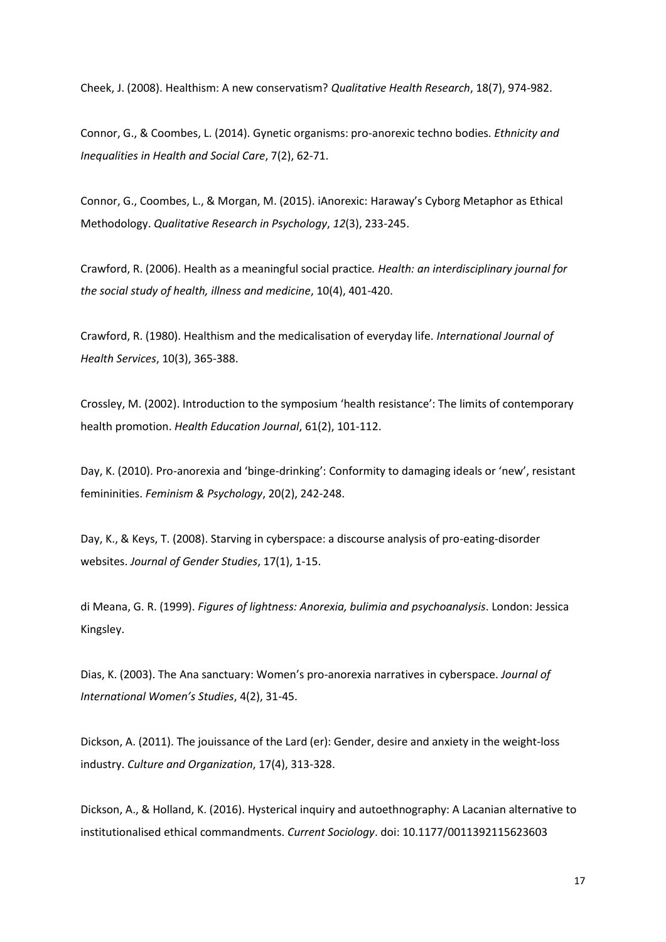Cheek, J. (2008). Healthism: A new conservatism? *Qualitative Health Research*, 18(7), 974-982.

Connor, G., & Coombes, L. (2014). Gynetic organisms: pro-anorexic techno bodies. *Ethnicity and Inequalities in Health and Social Care*, 7(2), 62-71.

Connor, G., Coombes, L., & Morgan, M. (2015). iAnorexic: Haraway's Cyborg Metaphor as Ethical Methodology. *Qualitative Research in Psychology*, *12*(3), 233-245.

Crawford, R. (2006). Health as a meaningful social practice*. Health: an interdisciplinary journal for the social study of health, illness and medicine*, 10(4), 401-420.

Crawford, R. (1980). Healthism and the medicalisation of everyday life. *International Journal of Health Services*, 10(3), 365-388.

Crossley, M. (2002). Introduction to the symposium 'health resistance': The limits of contemporary health promotion. *Health Education Journal*, 61(2), 101-112.

Day, K. (2010). Pro-anorexia and 'binge-drinking': Conformity to damaging ideals or 'new', resistant femininities. *Feminism & Psychology*, 20(2), 242-248.

Day, K., & Keys, T. (2008). Starving in cyberspace: a discourse analysis of pro-eating-disorder websites. *Journal of Gender Studies*, 17(1), 1-15.

di Meana, G. R. (1999). *Figures of lightness: Anorexia, bulimia and psychoanalysis*. London: Jessica Kingsley.

Dias, K. (2003). The Ana sanctuary: Women's pro-anorexia narratives in cyberspace. *Journal of International Women's Studies*, 4(2), 31-45.

Dickson, A. (2011). The jouissance of the Lard (er): Gender, desire and anxiety in the weight-loss industry. *Culture and Organization*, 17(4), 313-328.

Dickson, A., & Holland, K. (2016). Hysterical inquiry and autoethnography: A Lacanian alternative to institutionalised ethical commandments. *Current Sociology*. doi: 10.1177/0011392115623603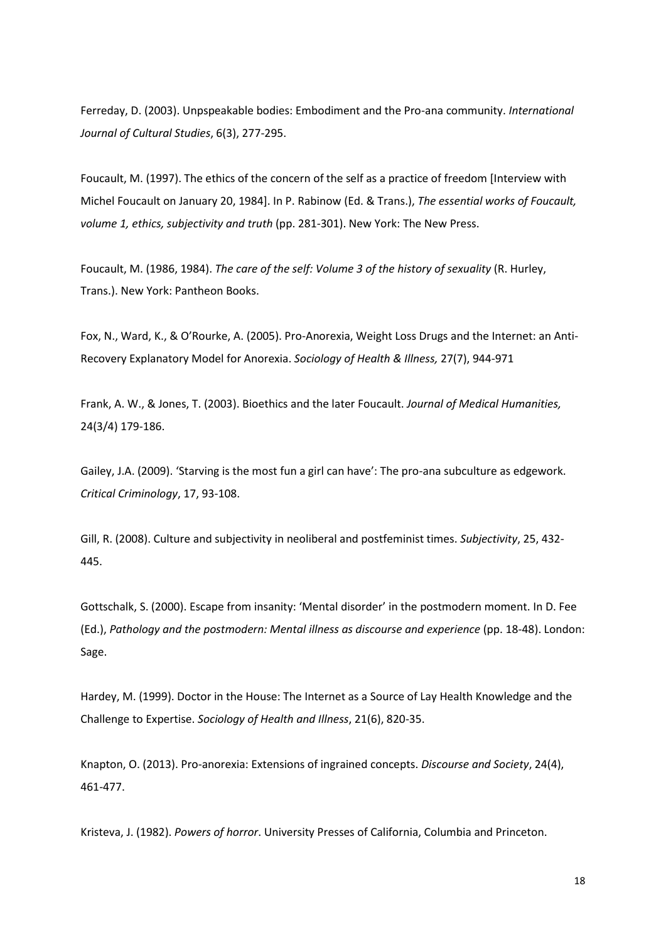Ferreday, D. (2003). Unpspeakable bodies: Embodiment and the Pro-ana community. *International Journal of Cultural Studies*, 6(3), 277-295.

Foucault, M. (1997). The ethics of the concern of the self as a practice of freedom [Interview with Michel Foucault on January 20, 1984]. In P. Rabinow (Ed. & Trans.), *The essential works of Foucault, volume 1, ethics, subjectivity and truth* (pp. 281-301). New York: The New Press.

Foucault, M. (1986, 1984). *The care of the self: Volume 3 of the history of sexuality* (R. Hurley, Trans.). New York: Pantheon Books.

Fox, N., Ward, K., & O'Rourke, A. (2005). Pro-Anorexia, Weight Loss Drugs and the Internet: an Anti-Recovery Explanatory Model for Anorexia. *Sociology of Health & Illness,* 27(7), 944-971

Frank, A. W., & Jones, T. (2003). Bioethics and the later Foucault. *Journal of Medical Humanities,* 24(3/4) 179-186.

Gailey, J.A. (2009). 'Starving is the most fun a girl can have': The pro-ana subculture as edgework. *Critical Criminology*, 17, 93-108.

Gill, R. (2008). Culture and subjectivity in neoliberal and postfeminist times. *Subjectivity*, 25, 432- 445.

Gottschalk, S. (2000). Escape from insanity: 'Mental disorder' in the postmodern moment. In D. Fee (Ed.), *Pathology and the postmodern: Mental illness as discourse and experience* (pp. 18-48). London: Sage.

Hardey, M. (1999). Doctor in the House: The Internet as a Source of Lay Health Knowledge and the Challenge to Expertise. *Sociology of Health and Illness*, 21(6), 820-35.

Knapton, O. (2013). Pro-anorexia: Extensions of ingrained concepts. *Discourse and Society*, 24(4), 461-477.

Kristeva, J. (1982). *Powers of horror*. University Presses of California, Columbia and Princeton.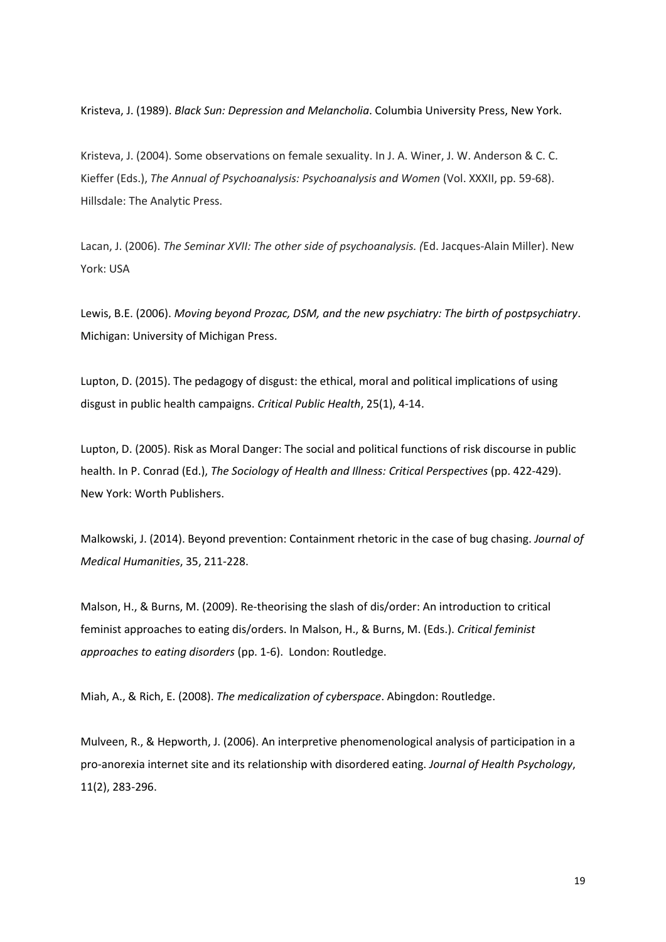Kristeva, J. (1989). *Black Sun: Depression and Melancholia*. Columbia University Press, New York.

Kristeva, J. (2004). Some observations on female sexuality. In J. A. Winer, J. W. Anderson & C. C. Kieffer (Eds.), *The Annual of Psychoanalysis: Psychoanalysis and Women* (Vol. XXXII, pp. 59-68). Hillsdale: The Analytic Press.

Lacan, J. (2006). *The Seminar XVII: The other side of psychoanalysis. (*Ed. Jacques-Alain Miller). New York: USA

Lewis, B.E. (2006). *Moving beyond Prozac, DSM, and the new psychiatry: The birth of postpsychiatry*. Michigan: University of Michigan Press.

Lupton, D. (2015). The pedagogy of disgust: the ethical, moral and political implications of using disgust in public health campaigns. *Critical Public Health*, 25(1), 4-14.

Lupton, D. (2005). Risk as Moral Danger: The social and political functions of risk discourse in public health. In P. Conrad (Ed.), *The Sociology of Health and Illness: Critical Perspectives* (pp. 422-429). New York: Worth Publishers.

Malkowski, J. (2014). Beyond prevention: Containment rhetoric in the case of bug chasing. *Journal of Medical Humanities*, 35, 211-228.

Malson, H., & Burns, M. (2009). Re-theorising the slash of dis/order: An introduction to critical feminist approaches to eating dis/orders. In Malson, H., & Burns, M. (Eds.). *Critical feminist approaches to eating disorders* (pp. 1-6). London: Routledge.

Miah, A., & Rich, E. (2008). *The medicalization of cyberspace*. Abingdon: Routledge.

Mulveen, R., & Hepworth, J. (2006). An interpretive phenomenological analysis of participation in a pro-anorexia internet site and its relationship with disordered eating. *Journal of Health Psychology*, 11(2), 283-296.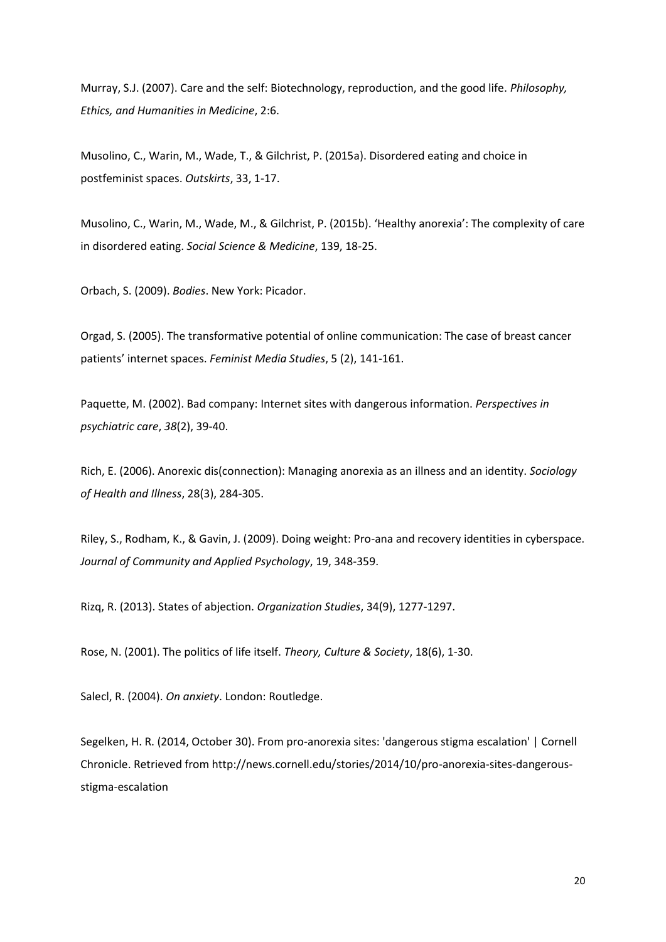Murray, S.J. (2007). Care and the self: Biotechnology, reproduction, and the good life. *Philosophy, Ethics, and Humanities in Medicine*, 2:6.

Musolino, C., Warin, M., Wade, T., & Gilchrist, P. (2015a). Disordered eating and choice in postfeminist spaces. *Outskirts*, 33, 1-17.

Musolino, C., Warin, M., Wade, M., & Gilchrist, P. (2015b). 'Healthy anorexia': The complexity of care in disordered eating. *Social Science & Medicine*, 139, 18-25.

Orbach, S. (2009). *Bodies*. New York: Picador.

Orgad, S. (2005). The transformative potential of online communication: The case of breast cancer patients' internet spaces. *Feminist Media Studies*, 5 (2), 141-161.

Paquette, M. (2002). Bad company: Internet sites with dangerous information. *Perspectives in psychiatric care*, *38*(2), 39-40.

Rich, E. (2006). Anorexic dis(connection): Managing anorexia as an illness and an identity. *Sociology of Health and Illness*, 28(3), 284-305.

Riley, S., Rodham, K., & Gavin, J. (2009). Doing weight: Pro-ana and recovery identities in cyberspace. *Journal of Community and Applied Psychology*, 19, 348-359.

Rizq, R. (2013). States of abjection. *Organization Studies*, 34(9), 1277-1297.

Rose, N. (2001). The politics of life itself. *Theory, Culture & Society*, 18(6), 1-30.

Salecl, R. (2004). *On anxiety*. London: Routledge.

Segelken, H. R. (2014, October 30). From pro-anorexia sites: 'dangerous stigma escalation' | Cornell Chronicle. Retrieved from http://news.cornell.edu/stories/2014/10/pro-anorexia-sites-dangerousstigma-escalation